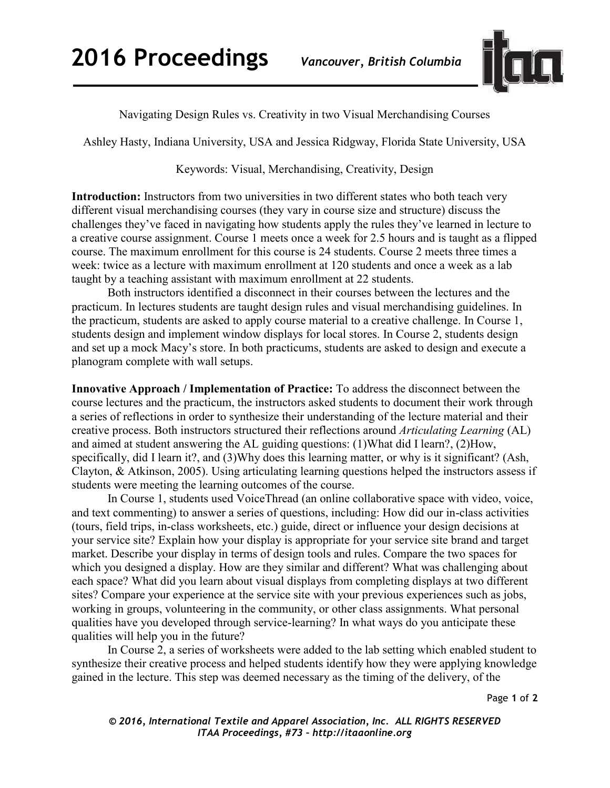

Navigating Design Rules vs. Creativity in two Visual Merchandising Courses

Ashley Hasty, Indiana University, USA and Jessica Ridgway, Florida State University, USA

## Keywords: Visual, Merchandising, Creativity, Design

Introduction: Instructors from two universities in two different states who both teach very different visual merchandising courses (they vary in course size and structure) discuss the challenges they've faced in navigating how students apply the rules they've learned in lecture to a creative course assignment. Course 1 meets once a week for 2.5 hours and is taught as a flipped course. The maximum enrollment for this course is 24 students. Course 2 meets three times a week: twice as a lecture with maximum enrollment at 120 students and once a week as a lab taught by a teaching assistant with maximum enrollment at 22 students.

Both instructors identified a disconnect in their courses between the lectures and the practicum. In lectures students are taught design rules and visual merchandising guidelines. In the practicum, students are asked to apply course material to a creative challenge. In Course 1, students design and implement window displays for local stores. In Course 2, students design and set up a mock Macy's store. In both practicums, students are asked to design and execute a planogram complete with wall setups.

**Innovative Approach / Implementation of Practice:** To address the disconnect between the course lectures and the practicum, the instructors asked students to document their work through a series of reflections in order to synthesize their understanding of the lecture material and their creative process. Both instructors structured their reflections around *Articulating Learning* (AL) and aimed at student answering the AL guiding questions: (1)What did I learn?, (2)How, specifically, did I learn it?, and (3) Why does this learning matter, or why is it significant? (Ash, Clayton, & Atkinson, 2005). Using articulating learning questions helped the instructors assess if students were meeting the learning outcomes of the course.

In Course 1, students used VoiceThread (an online collaborative space with video, voice, and text commenting) to answer a series of questions, including: How did our in-class activities (tours, field trips, in-class worksheets, etc.) guide, direct or influence your design decisions at your service site? Explain how your display is appropriate for your service site brand and target market. Describe your display in terms of design tools and rules. Compare the two spaces for which you designed a display. How are they similar and different? What was challenging about each space? What did you learn about visual displays from completing displays at two different sites? Compare your experience at the service site with your previous experiences such as jobs, working in groups, volunteering in the community, or other class assignments. What personal qualities have you developed through service-learning? In what ways do you anticipate these qualities will help you in the future?

In Course 2, a series of worksheets were added to the lab setting which enabled student to synthesize their creative process and helped students identify how they were applying knowledge gained in the lecture. This step was deemed necessary as the timing of the delivery, of the